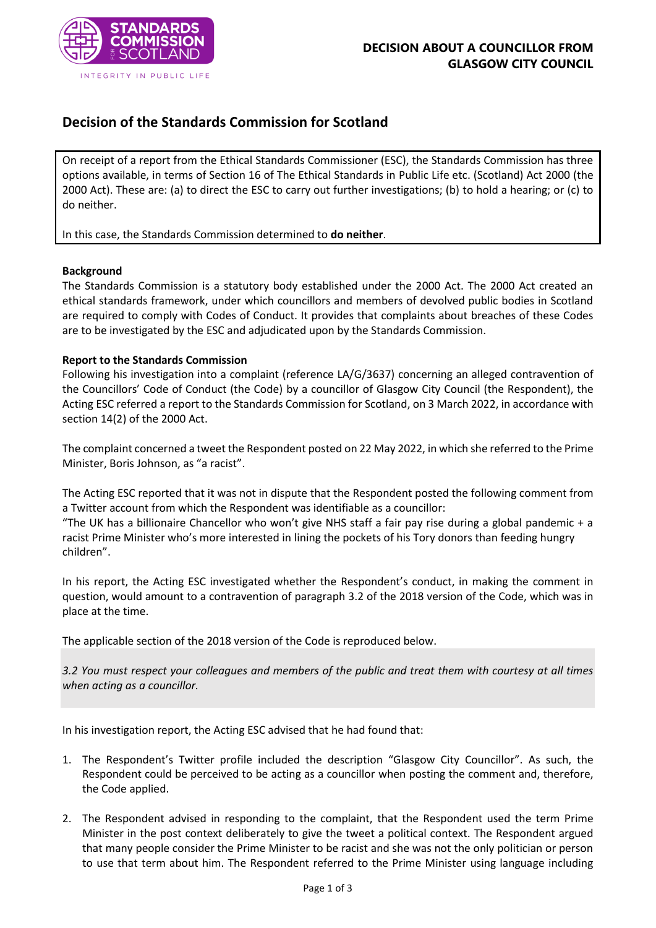

## **Decision of the Standards Commission for Scotland**

On receipt of a report from the Ethical Standards Commissioner (ESC), the Standards Commission has three options available, in terms of Section 16 of The Ethical Standards in Public Life etc. (Scotland) Act 2000 (the 2000 Act). These are: (a) to direct the ESC to carry out further investigations; (b) to hold a hearing; or (c) to do neither.

In this case, the Standards Commission determined to **do neither**.

## **Background**

The Standards Commission is a statutory body established under the 2000 Act. The 2000 Act created an ethical standards framework, under which councillors and members of devolved public bodies in Scotland are required to comply with Codes of Conduct. It provides that complaints about breaches of these Codes are to be investigated by the ESC and adjudicated upon by the Standards Commission.

## **Report to the Standards Commission**

Following his investigation into a complaint (reference LA/G/3637) concerning an alleged contravention of the Councillors' Code of Conduct (the Code) by a councillor of Glasgow City Council (the Respondent), the Acting ESC referred a report to the Standards Commission for Scotland, on 3 March 2022, in accordance with section 14(2) of the 2000 Act.

The complaint concerned a tweet the Respondent posted on 22 May 2022, in which she referred to the Prime Minister, Boris Johnson, as "a racist".

The Acting ESC reported that it was not in dispute that the Respondent posted the following comment from a Twitter account from which the Respondent was identifiable as a councillor:

"The UK has a billionaire Chancellor who won't give NHS staff a fair pay rise during a global pandemic + a racist Prime Minister who's more interested in lining the pockets of his Tory donors than feeding hungry children".

In his report, the Acting ESC investigated whether the Respondent's conduct, in making the comment in question, would amount to a contravention of paragraph 3.2 of the 2018 version of the Code, which was in place at the time.

The applicable section of the 2018 version of the Code is reproduced below.

*3.2 You must respect your colleagues and members of the public and treat them with courtesy at all times when acting as a councillor.* 

In his investigation report, the Acting ESC advised that he had found that:

- 1. The Respondent's Twitter profile included the description "Glasgow City Councillor". As such, the Respondent could be perceived to be acting as a councillor when posting the comment and, therefore, the Code applied.
- 2. The Respondent advised in responding to the complaint, that the Respondent used the term Prime Minister in the post context deliberately to give the tweet a political context. The Respondent argued that many people consider the Prime Minister to be racist and she was not the only politician or person to use that term about him. The Respondent referred to the Prime Minister using language including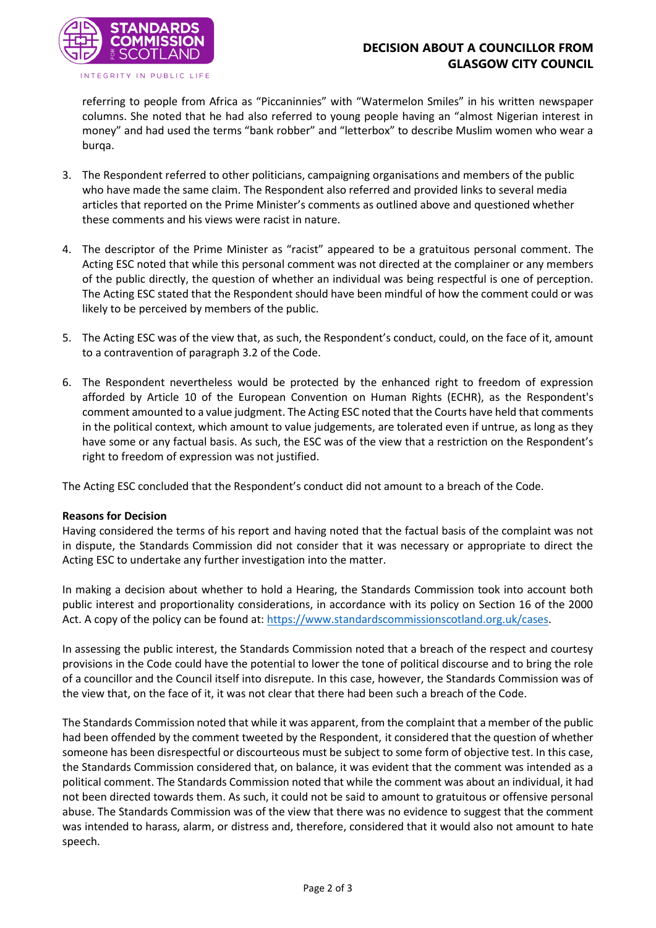

referring to people from Africa as "Piccaninnies" with "Watermelon Smiles" in his written newspaper columns. She noted that he had also referred to young people having an "almost Nigerian interest in money" and had used the terms "bank robber" and "letterbox" to describe Muslim women who wear a burqa.

- 3. The Respondent referred to other politicians, campaigning organisations and members of the public who have made the same claim. The Respondent also referred and provided links to several media articles that reported on the Prime Minister's comments as outlined above and questioned whether these comments and his views were racist in nature.
- 4. The descriptor of the Prime Minister as "racist" appeared to be a gratuitous personal comment. The Acting ESC noted that while this personal comment was not directed at the complainer or any members of the public directly, the question of whether an individual was being respectful is one of perception. The Acting ESC stated that the Respondent should have been mindful of how the comment could or was likely to be perceived by members of the public.
- 5. The Acting ESC was of the view that, as such, the Respondent's conduct, could, on the face of it, amount to a contravention of paragraph 3.2 of the Code.
- 6. The Respondent nevertheless would be protected by the enhanced right to freedom of expression afforded by Article 10 of the European Convention on Human Rights (ECHR), as the Respondent's comment amounted to a value judgment. The Acting ESC noted that the Courts have held that comments in the political context, which amount to value judgements, are tolerated even if untrue, as long as they have some or any factual basis. As such, the ESC was of the view that a restriction on the Respondent's right to freedom of expression was not justified.

The Acting ESC concluded that the Respondent's conduct did not amount to a breach of the Code.

## **Reasons for Decision**

Having considered the terms of his report and having noted that the factual basis of the complaint was not in dispute, the Standards Commission did not consider that it was necessary or appropriate to direct the Acting ESC to undertake any further investigation into the matter.

In making a decision about whether to hold a Hearing, the Standards Commission took into account both public interest and proportionality considerations, in accordance with its policy on Section 16 of the 2000 Act. A copy of the policy can be found at: [https://www.standardscommissionscotland.org.uk/cases.](https://www.standardscommissionscotland.org.uk/cases)

In assessing the public interest, the Standards Commission noted that a breach of the respect and courtesy provisions in the Code could have the potential to lower the tone of political discourse and to bring the role of a councillor and the Council itself into disrepute. In this case, however, the Standards Commission was of the view that, on the face of it, it was not clear that there had been such a breach of the Code.

The Standards Commission noted that while it was apparent, from the complaint that a member of the public had been offended by the comment tweeted by the Respondent, it considered that the question of whether someone has been disrespectful or discourteous must be subject to some form of objective test. In this case, the Standards Commission considered that, on balance, it was evident that the comment was intended as a political comment. The Standards Commission noted that while the comment was about an individual, it had not been directed towards them. As such, it could not be said to amount to gratuitous or offensive personal abuse. The Standards Commission was of the view that there was no evidence to suggest that the comment was intended to harass, alarm, or distress and, therefore, considered that it would also not amount to hate speech.